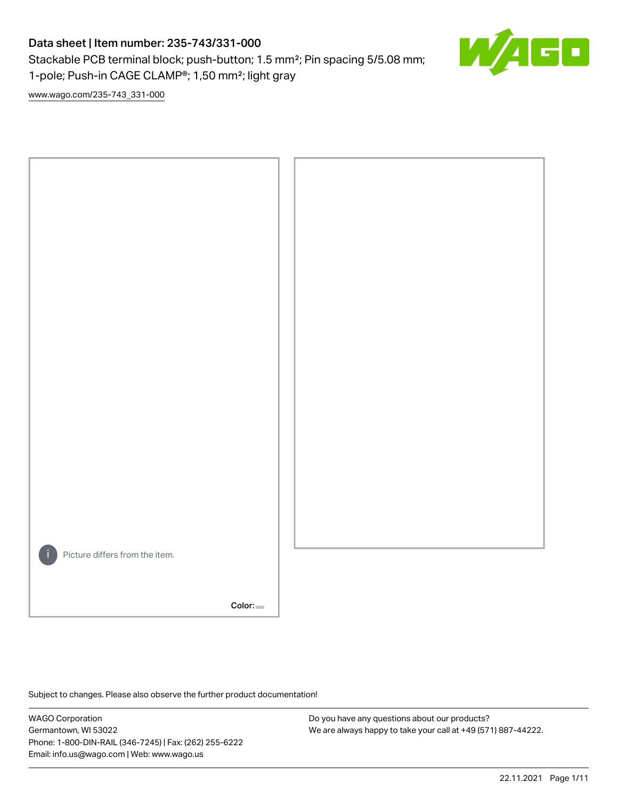# Data sheet | Item number: 235-743/331-000

Stackable PCB terminal block; push-button; 1.5 mm²; Pin spacing 5/5.08 mm; 1-pole; Push-in CAGE CLAMP®; 1,50 mm²; light gray



[www.wago.com/235-743\\_331-000](http://www.wago.com/235-743_331-000)



Subject to changes. Please also observe the further product documentation!

WAGO Corporation Germantown, WI 53022 Phone: 1-800-DIN-RAIL (346-7245) | Fax: (262) 255-6222 Email: info.us@wago.com | Web: www.wago.us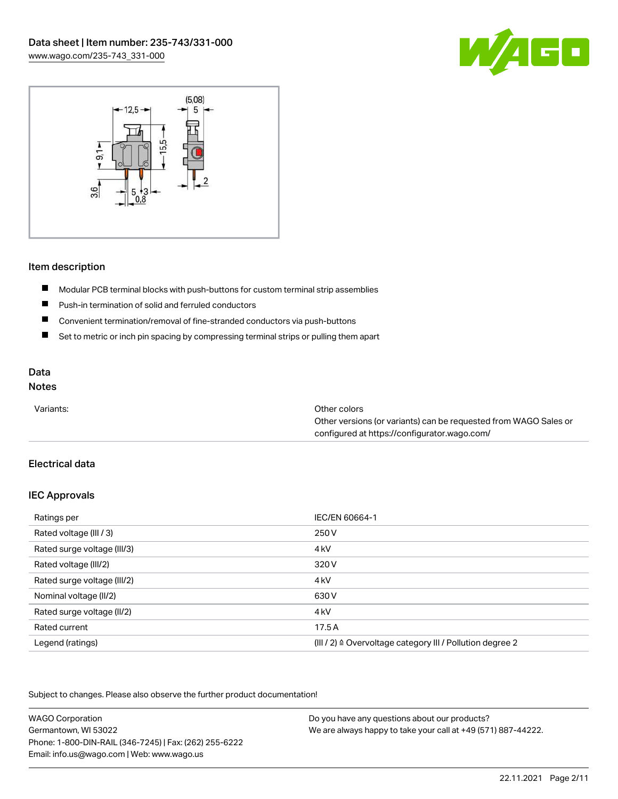



#### Item description

- $\blacksquare$ Modular PCB terminal blocks with push-buttons for custom terminal strip assemblies
- $\blacksquare$ Push-in termination of solid and ferruled conductors
- $\blacksquare$ Convenient termination/removal of fine-stranded conductors via push-buttons
- $\blacksquare$ Set to metric or inch pin spacing by compressing terminal strips or pulling them apart

# Data

## Notes

| Variants: | Other colors                                                     |
|-----------|------------------------------------------------------------------|
|           | Other versions (or variants) can be requested from WAGO Sales or |
|           | configured at https://configurator.wago.com/                     |

## Electrical data

#### IEC Approvals

| Ratings per                 | IEC/EN 60664-1                                                       |
|-----------------------------|----------------------------------------------------------------------|
| Rated voltage (III / 3)     | 250 V                                                                |
| Rated surge voltage (III/3) | 4 <sub>kV</sub>                                                      |
| Rated voltage (III/2)       | 320 V                                                                |
| Rated surge voltage (III/2) | 4 <sub>k</sub> V                                                     |
| Nominal voltage (II/2)      | 630 V                                                                |
| Rated surge voltage (II/2)  | 4 <sub>k</sub> V                                                     |
| Rated current               | 17.5A                                                                |
| Legend (ratings)            | (III / 2) $\triangleq$ Overvoltage category III / Pollution degree 2 |

Subject to changes. Please also observe the further product documentation!

| <b>WAGO Corporation</b>                                | Do you have any questions about our products?                 |
|--------------------------------------------------------|---------------------------------------------------------------|
| Germantown, WI 53022                                   | We are always happy to take your call at +49 (571) 887-44222. |
| Phone: 1-800-DIN-RAIL (346-7245)   Fax: (262) 255-6222 |                                                               |
| Email: info.us@wago.com   Web: www.wago.us             |                                                               |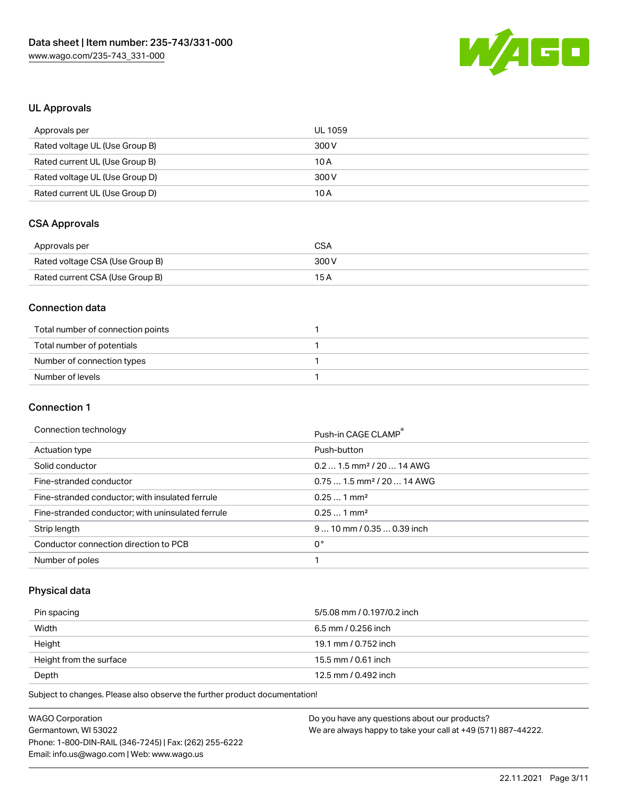

### UL Approvals

| Approvals per                  | UL 1059 |
|--------------------------------|---------|
| Rated voltage UL (Use Group B) | 300 V   |
| Rated current UL (Use Group B) | 10 A    |
| Rated voltage UL (Use Group D) | 300 V   |
| Rated current UL (Use Group D) | 10 A    |

# CSA Approvals

| Approvals per                   | CSA   |
|---------------------------------|-------|
| Rated voltage CSA (Use Group B) | 300 V |
| Rated current CSA (Use Group B) | 15 A  |

#### Connection data

| Total number of connection points |  |
|-----------------------------------|--|
| Total number of potentials        |  |
| Number of connection types        |  |
| Number of levels                  |  |

#### Connection 1

#### Connection technology example and the connection of the connection of the connection of the connection of the connection of the connection of the connection of the connection of the connection of the connection of the conn

|                                                   | PUSH-III UAUE ULAIVIP                  |
|---------------------------------------------------|----------------------------------------|
| Actuation type                                    | Push-button                            |
| Solid conductor                                   | $0.21.5$ mm <sup>2</sup> / 20  14 AWG  |
| Fine-stranded conductor                           | $0.751.5$ mm <sup>2</sup> / 20  14 AWG |
| Fine-stranded conductor; with insulated ferrule   | $0.251$ mm <sup>2</sup>                |
| Fine-stranded conductor; with uninsulated ferrule | $0.251$ mm <sup>2</sup>                |
| Strip length                                      | $910$ mm / 0.35  0.39 inch             |
| Conductor connection direction to PCB             | 0°                                     |
| Number of poles                                   |                                        |

## Physical data

| Pin spacing             | 5/5.08 mm / 0.197/0.2 inch |
|-------------------------|----------------------------|
| Width                   | 6.5 mm / 0.256 inch        |
| Height                  | 19.1 mm / 0.752 inch       |
| Height from the surface | 15.5 mm / 0.61 inch        |
| Depth                   | 12.5 mm / 0.492 inch       |

Subject to changes. Please also observe the further product documentation!

| <b>WAGO Corporation</b>                                | Do you have any questions about our products?                 |
|--------------------------------------------------------|---------------------------------------------------------------|
| Germantown, WI 53022                                   | We are always happy to take your call at +49 (571) 887-44222. |
| Phone: 1-800-DIN-RAIL (346-7245)   Fax: (262) 255-6222 |                                                               |
| Email: info.us@wago.com   Web: www.wago.us             |                                                               |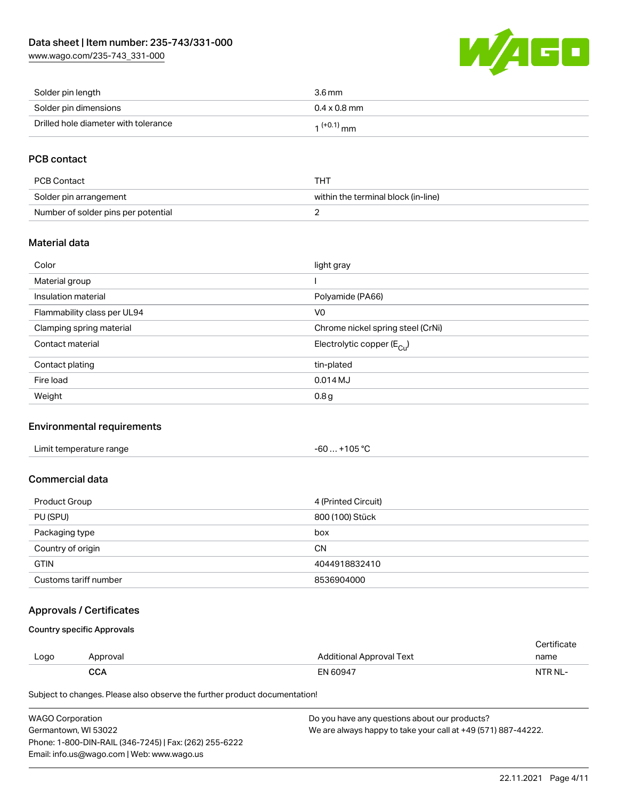[www.wago.com/235-743\\_331-000](http://www.wago.com/235-743_331-000)



| Solder pin length                    | 3.6 mm                 |
|--------------------------------------|------------------------|
| Solder pin dimensions                | $0.4 \times 0.8$ mm    |
| Drilled hole diameter with tolerance | 1 <sup>(+0.1)</sup> mm |

## PCB contact

| PCB Contact                         | THT                                 |
|-------------------------------------|-------------------------------------|
| Solder pin arrangement              | within the terminal block (in-line) |
| Number of solder pins per potential |                                     |

#### Material data

| Color                       | light gray                            |
|-----------------------------|---------------------------------------|
| Material group              |                                       |
| Insulation material         | Polyamide (PA66)                      |
| Flammability class per UL94 | V <sub>0</sub>                        |
| Clamping spring material    | Chrome nickel spring steel (CrNi)     |
| Contact material            | Electrolytic copper $(E_{\text{Cu}})$ |
| Contact plating             | tin-plated                            |
| Fire load                   | $0.014$ MJ                            |
| Weight                      | 0.8 <sub>g</sub>                      |

#### Environmental requirements

| Limit temperature range | +105 °C<br>$-60$ |  |
|-------------------------|------------------|--|
|-------------------------|------------------|--|

### Commercial data

| Product Group         | 4 (Printed Circuit) |
|-----------------------|---------------------|
| PU (SPU)              | 800 (100) Stück     |
| Packaging type        | box                 |
| Country of origin     | <b>CN</b>           |
| <b>GTIN</b>           | 4044918832410       |
| Customs tariff number | 8536904000          |

### Approvals / Certificates

Country specific Approvals

| Logo | Approval   | Additional Approval Text | name    |
|------|------------|--------------------------|---------|
|      | <b>CCA</b> | EN 60947                 | NTR NL- |

Subject to changes. Please also observe the further product documentation!

| <b>WAGO Corporation</b>                                | Do you have any questions about our products?                 |
|--------------------------------------------------------|---------------------------------------------------------------|
| Germantown. WI 53022                                   | We are always happy to take your call at +49 (571) 887-44222. |
| Phone: 1-800-DIN-RAIL (346-7245)   Fax: (262) 255-6222 |                                                               |
| Email: info.us@wago.com   Web: www.wago.us             |                                                               |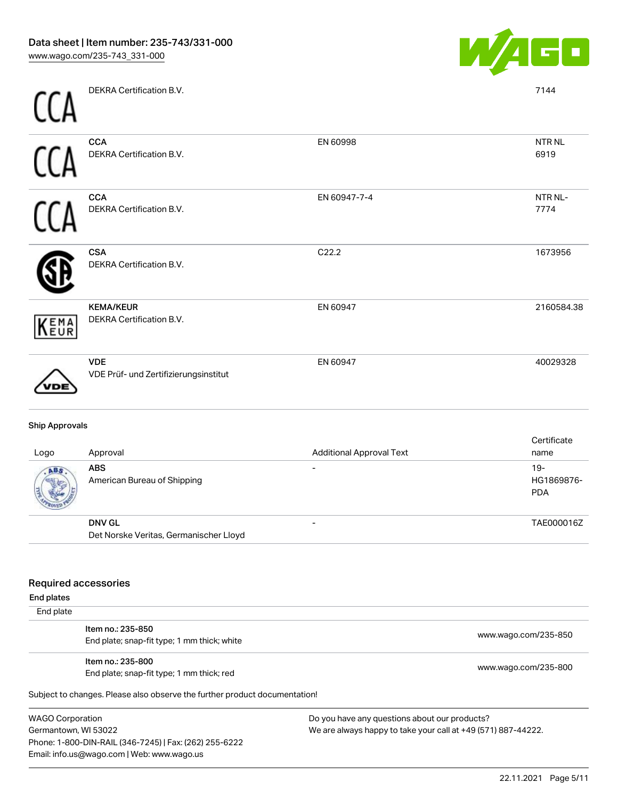

DEKRA Certification B.V.

 $\sim$ 

| <b>CCA</b>            | <b>CCA</b><br>DEKRA Certification B.V.                  | EN 60998                        | <b>NTRNL</b><br>6919               |
|-----------------------|---------------------------------------------------------|---------------------------------|------------------------------------|
| <b>CCA</b>            | <b>CCA</b><br>DEKRA Certification B.V.                  | EN 60947-7-4                    | NTR NL-<br>7774                    |
|                       | <b>CSA</b><br>DEKRA Certification B.V.                  | C22.2                           | 1673956                            |
| KEMA                  | <b>KEMA/KEUR</b><br>DEKRA Certification B.V.            | EN 60947                        | 2160584.38                         |
|                       | <b>VDE</b><br>VDE Prüf- und Zertifizierungsinstitut     | EN 60947                        | 40029328                           |
| <b>Ship Approvals</b> |                                                         |                                 |                                    |
| Logo                  | Approval                                                | <b>Additional Approval Text</b> | Certificate<br>name                |
|                       | <b>ABS</b><br>American Bureau of Shipping               |                                 | $19 -$<br>HG1869876-<br><b>PDA</b> |
|                       | <b>DNV GL</b><br>Det Norske Veritas, Germanischer Lloyd |                                 | TAE000016Z                         |

End plates  $E$ 

| End plate |                                                                            |                      |
|-----------|----------------------------------------------------------------------------|----------------------|
|           | Item no.: 235-850<br>End plate; snap-fit type; 1 mm thick; white           | www.wago.com/235-850 |
|           | Item no.: 235-800<br>End plate; snap-fit type; 1 mm thick; red             | www.wago.com/235-800 |
|           | Subject to changes. Please also observe the further product documentation! |                      |

WAGO Corporation Germantown, WI 53022 Phone: 1-800-DIN-RAIL (346-7245) | Fax: (262) 255-6222 Email: info.us@wago.com | Web: www.wago.us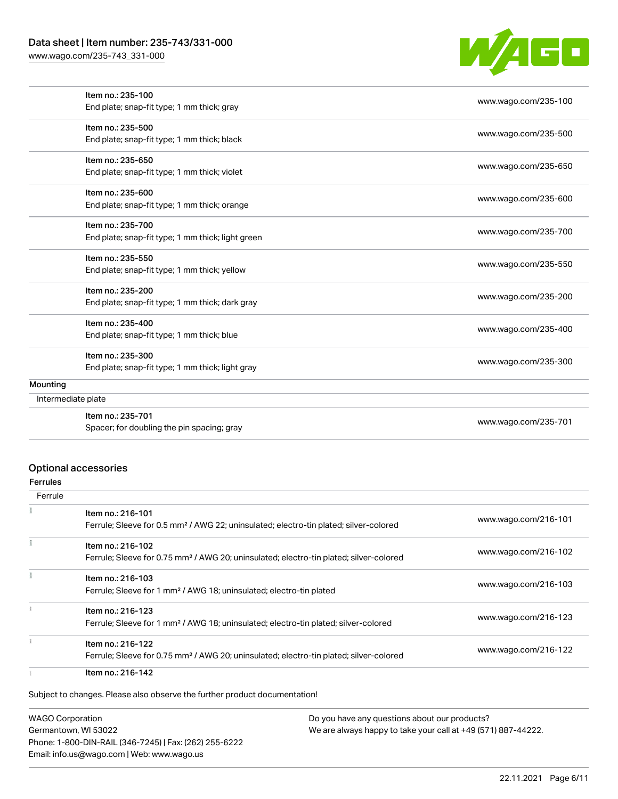### Data sheet | Item number: 235-743/331-000

[www.wago.com/235-743\\_331-000](http://www.wago.com/235-743_331-000)



|                    | Item no.: 235-100                                 | www.wago.com/235-100 |
|--------------------|---------------------------------------------------|----------------------|
|                    | End plate; snap-fit type; 1 mm thick; gray        |                      |
|                    | Item no.: 235-500                                 | www.wago.com/235-500 |
|                    | End plate; snap-fit type; 1 mm thick; black       |                      |
|                    | Item no.: 235-650                                 | www.wago.com/235-650 |
|                    | End plate; snap-fit type; 1 mm thick; violet      |                      |
|                    | Item no.: 235-600                                 |                      |
|                    | End plate; snap-fit type; 1 mm thick; orange      | www.wago.com/235-600 |
|                    | Item no.: 235-700                                 |                      |
|                    | End plate; snap-fit type; 1 mm thick; light green | www.wago.com/235-700 |
|                    | Item no.: 235-550                                 |                      |
|                    | End plate; snap-fit type; 1 mm thick; yellow      | www.wago.com/235-550 |
|                    | Item no.: 235-200                                 |                      |
|                    | End plate; snap-fit type; 1 mm thick; dark gray   | www.wago.com/235-200 |
|                    | Item no.: 235-400                                 |                      |
|                    | End plate; snap-fit type; 1 mm thick; blue        | www.wago.com/235-400 |
|                    | Item no.: 235-300                                 |                      |
|                    | End plate; snap-fit type; 1 mm thick; light gray  | www.wago.com/235-300 |
| Mounting           |                                                   |                      |
| Intermediate plate |                                                   |                      |
|                    | Item no.: 235-701                                 | www.wago.com/235-701 |
|                    | Spacer; for doubling the pin spacing; gray        |                      |

### Optional accessories

Ferrules

| Ferrule |                                                                                                                         |                      |
|---------|-------------------------------------------------------------------------------------------------------------------------|----------------------|
|         | Item no.: 216-101<br>Ferrule; Sleeve for 0.5 mm <sup>2</sup> / AWG 22; uninsulated; electro-tin plated; silver-colored  | www.wago.com/216-101 |
|         | Item no.: 216-102<br>Ferrule; Sleeve for 0.75 mm <sup>2</sup> / AWG 20; uninsulated; electro-tin plated; silver-colored | www.wago.com/216-102 |
|         | Item no.: 216-103<br>Ferrule; Sleeve for 1 mm <sup>2</sup> / AWG 18; uninsulated; electro-tin plated                    | www.wago.com/216-103 |
|         | Item no.: 216-123<br>Ferrule; Sleeve for 1 mm <sup>2</sup> / AWG 18; uninsulated; electro-tin plated; silver-colored    | www.wago.com/216-123 |
|         | Item no.: 216-122<br>Ferrule; Sleeve for 0.75 mm <sup>2</sup> / AWG 20; uninsulated; electro-tin plated; silver-colored | www.wago.com/216-122 |
|         | Item no.: 216-142                                                                                                       |                      |

Subject to changes. Please also observe the further product documentation!

WAGO Corporation Germantown, WI 53022 Phone: 1-800-DIN-RAIL (346-7245) | Fax: (262) 255-6222 Email: info.us@wago.com | Web: www.wago.us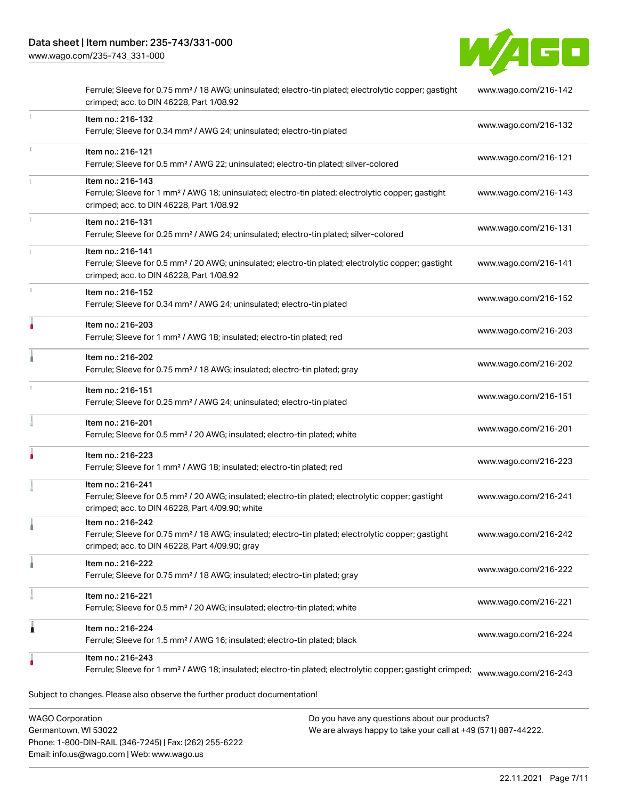[www.wago.com/235-743\\_331-000](http://www.wago.com/235-743_331-000)



|   | Ferrule; Sleeve for 0.75 mm <sup>2</sup> / 18 AWG; uninsulated; electro-tin plated; electrolytic copper; gastight<br>crimped; acc. to DIN 46228, Part 1/08.92                          | www.wago.com/216-142 |
|---|----------------------------------------------------------------------------------------------------------------------------------------------------------------------------------------|----------------------|
|   | Item no.: 216-132<br>Ferrule; Sleeve for 0.34 mm <sup>2</sup> / AWG 24; uninsulated; electro-tin plated                                                                                | www.wago.com/216-132 |
|   | Item no.: 216-121<br>Ferrule; Sleeve for 0.5 mm <sup>2</sup> / AWG 22; uninsulated; electro-tin plated; silver-colored                                                                 | www.wago.com/216-121 |
|   | Item no.: 216-143<br>Ferrule; Sleeve for 1 mm <sup>2</sup> / AWG 18; uninsulated; electro-tin plated; electrolytic copper; gastight<br>crimped; acc. to DIN 46228, Part 1/08.92        | www.wago.com/216-143 |
|   | Item no.: 216-131<br>Ferrule; Sleeve for 0.25 mm <sup>2</sup> / AWG 24; uninsulated; electro-tin plated; silver-colored                                                                | www.wago.com/216-131 |
|   | Item no.: 216-141<br>Ferrule; Sleeve for 0.5 mm <sup>2</sup> / 20 AWG; uninsulated; electro-tin plated; electrolytic copper; gastight<br>crimped; acc. to DIN 46228, Part 1/08.92      | www.wago.com/216-141 |
|   | Item no.: 216-152<br>Ferrule; Sleeve for 0.34 mm <sup>2</sup> / AWG 24; uninsulated; electro-tin plated                                                                                | www.wago.com/216-152 |
|   | Item no.: 216-203<br>Ferrule; Sleeve for 1 mm <sup>2</sup> / AWG 18; insulated; electro-tin plated; red                                                                                | www.wago.com/216-203 |
|   | Item no.: 216-202<br>Ferrule; Sleeve for 0.75 mm <sup>2</sup> / 18 AWG; insulated; electro-tin plated; gray                                                                            | www.wago.com/216-202 |
| 1 | Item no.: 216-151<br>Ferrule; Sleeve for 0.25 mm <sup>2</sup> / AWG 24; uninsulated; electro-tin plated                                                                                | www.wago.com/216-151 |
|   | Item no.: 216-201<br>Ferrule; Sleeve for 0.5 mm <sup>2</sup> / 20 AWG; insulated; electro-tin plated; white                                                                            | www.wago.com/216-201 |
|   | Item no.: 216-223<br>Ferrule; Sleeve for 1 mm <sup>2</sup> / AWG 18; insulated; electro-tin plated; red                                                                                | www.wago.com/216-223 |
|   | Item no.: 216-241<br>Ferrule; Sleeve for 0.5 mm <sup>2</sup> / 20 AWG; insulated; electro-tin plated; electrolytic copper; gastight<br>crimped; acc. to DIN 46228, Part 4/09.90; white | www.wago.com/216-241 |
|   | Item no.: 216-242<br>Ferrule; Sleeve for 0.75 mm <sup>2</sup> / 18 AWG; insulated; electro-tin plated; electrolytic copper; gastight<br>crimped; acc. to DIN 46228, Part 4/09.90; gray | www.wago.com/216-242 |
|   | Item no.: 216-222<br>Ferrule; Sleeve for 0.75 mm <sup>2</sup> / 18 AWG; insulated; electro-tin plated; gray                                                                            | www.wago.com/216-222 |
|   | Item no.: 216-221<br>Ferrule; Sleeve for 0.5 mm <sup>2</sup> / 20 AWG; insulated; electro-tin plated; white                                                                            | www.wago.com/216-221 |
|   | Item no.: 216-224<br>Ferrule; Sleeve for 1.5 mm <sup>2</sup> / AWG 16; insulated; electro-tin plated; black                                                                            | www.wago.com/216-224 |
|   | Item no.: 216-243<br>Ferrule; Sleeve for 1 mm <sup>2</sup> / AWG 18; insulated; electro-tin plated; electrolytic copper; gastight crimped;                                             | www.wago.com/216-243 |
|   | Subject to changes. Please also observe the further product documentation!                                                                                                             |                      |

WAGO Corporation Germantown, WI 53022 Phone: 1-800-DIN-RAIL (346-7245) | Fax: (262) 255-6222 Email: info.us@wago.com | Web: www.wago.us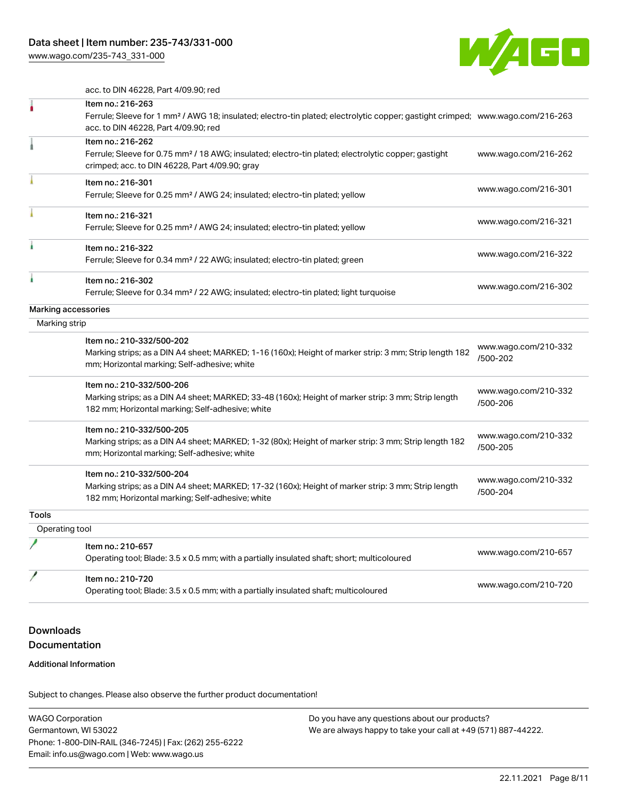[www.wago.com/235-743\\_331-000](http://www.wago.com/235-743_331-000)



acc. to DIN 46228, Part 4/09.90; red

|                     | Item no.: 216-263<br>Ferrule; Sleeve for 1 mm <sup>2</sup> / AWG 18; insulated; electro-tin plated; electrolytic copper; gastight crimped; www.wago.com/216-263<br>acc. to DIN 46228, Part 4/09.90; red |                                  |
|---------------------|---------------------------------------------------------------------------------------------------------------------------------------------------------------------------------------------------------|----------------------------------|
|                     | Item no.: 216-262<br>Ferrule; Sleeve for 0.75 mm <sup>2</sup> / 18 AWG; insulated; electro-tin plated; electrolytic copper; gastight<br>crimped; acc. to DIN 46228, Part 4/09.90; gray                  | www.wago.com/216-262             |
|                     | Item no.: 216-301<br>Ferrule; Sleeve for 0.25 mm <sup>2</sup> / AWG 24; insulated; electro-tin plated; yellow                                                                                           | www.wago.com/216-301             |
|                     | Item no.: 216-321<br>Ferrule; Sleeve for 0.25 mm <sup>2</sup> / AWG 24; insulated; electro-tin plated; yellow                                                                                           | www.wago.com/216-321             |
|                     | Item no.: 216-322<br>Ferrule; Sleeve for 0.34 mm <sup>2</sup> / 22 AWG; insulated; electro-tin plated; green                                                                                            | www.wago.com/216-322             |
|                     | Item no.: 216-302<br>Ferrule; Sleeve for 0.34 mm <sup>2</sup> / 22 AWG; insulated; electro-tin plated; light turquoise                                                                                  | www.wago.com/216-302             |
| Marking accessories |                                                                                                                                                                                                         |                                  |
| Marking strip       |                                                                                                                                                                                                         |                                  |
|                     | Item no.: 210-332/500-202<br>Marking strips; as a DIN A4 sheet; MARKED; 1-16 (160x); Height of marker strip: 3 mm; Strip length 182<br>mm; Horizontal marking; Self-adhesive; white                     | www.wago.com/210-332<br>/500-202 |
|                     | Item no.: 210-332/500-206<br>Marking strips; as a DIN A4 sheet; MARKED; 33-48 (160x); Height of marker strip: 3 mm; Strip length<br>182 mm; Horizontal marking; Self-adhesive; white                    | www.wago.com/210-332<br>/500-206 |
|                     | Item no.: 210-332/500-205<br>Marking strips; as a DIN A4 sheet; MARKED; 1-32 (80x); Height of marker strip: 3 mm; Strip length 182<br>mm; Horizontal marking; Self-adhesive; white                      | www.wago.com/210-332<br>/500-205 |
|                     | Item no.: 210-332/500-204<br>Marking strips; as a DIN A4 sheet; MARKED; 17-32 (160x); Height of marker strip: 3 mm; Strip length<br>182 mm; Horizontal marking; Self-adhesive; white                    | www.wago.com/210-332<br>/500-204 |
| <b>Tools</b>        |                                                                                                                                                                                                         |                                  |
| Operating tool      |                                                                                                                                                                                                         |                                  |
|                     | Item no.: 210-657<br>Operating tool; Blade: 3.5 x 0.5 mm; with a partially insulated shaft; short; multicoloured                                                                                        | www.wago.com/210-657             |
|                     | Item no.: 210-720<br>Operating tool; Blade: 3.5 x 0.5 mm; with a partially insulated shaft; multicoloured                                                                                               | www.wago.com/210-720             |
|                     |                                                                                                                                                                                                         |                                  |

## Downloads Documentation

#### Additional Information

Subject to changes. Please also observe the further product documentation!

WAGO Corporation Germantown, WI 53022 Phone: 1-800-DIN-RAIL (346-7245) | Fax: (262) 255-6222 Email: info.us@wago.com | Web: www.wago.us Do you have any questions about our products? We are always happy to take your call at +49 (571) 887-44222.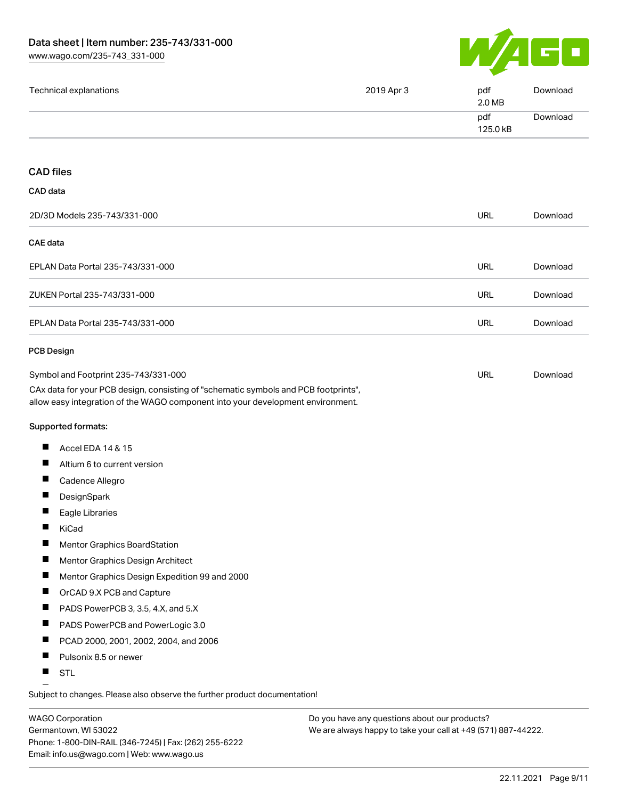

| Technical explanations                                                                                                                                                 | 2019 Apr 3 | pdf<br>2.0 MB   | Download |
|------------------------------------------------------------------------------------------------------------------------------------------------------------------------|------------|-----------------|----------|
|                                                                                                                                                                        |            | pdf<br>125.0 kB | Download |
| <b>CAD files</b>                                                                                                                                                       |            |                 |          |
| CAD data                                                                                                                                                               |            |                 |          |
| 2D/3D Models 235-743/331-000                                                                                                                                           |            | <b>URL</b>      | Download |
| <b>CAE</b> data                                                                                                                                                        |            |                 |          |
| EPLAN Data Portal 235-743/331-000                                                                                                                                      |            | URL             | Download |
| ZUKEN Portal 235-743/331-000                                                                                                                                           |            | <b>URL</b>      | Download |
| EPLAN Data Portal 235-743/331-000                                                                                                                                      |            | <b>URL</b>      | Download |
| <b>PCB Design</b>                                                                                                                                                      |            |                 |          |
| Symbol and Footprint 235-743/331-000                                                                                                                                   |            | URL             | Download |
| CAx data for your PCB design, consisting of "schematic symbols and PCB footprints",<br>allow easy integration of the WAGO component into your development environment. |            |                 |          |
| Supported formats:                                                                                                                                                     |            |                 |          |
| Ш<br>Accel EDA 14 & 15                                                                                                                                                 |            |                 |          |
| ш<br>Altium 6 to current version                                                                                                                                       |            |                 |          |
| ш<br>Cadence Allegro                                                                                                                                                   |            |                 |          |
| Ш<br>DesignSpark                                                                                                                                                       |            |                 |          |
| Eagle Libraries                                                                                                                                                        |            |                 |          |
| Ш<br>KiCad                                                                                                                                                             |            |                 |          |
| Ц<br>Mentor Graphics BoardStation                                                                                                                                      |            |                 |          |
| ш<br>Mentor Graphics Design Architect                                                                                                                                  |            |                 |          |
| ш<br>Mentor Graphics Design Expedition 99 and 2000                                                                                                                     |            |                 |          |
| ш<br>OrCAD 9.X PCB and Capture                                                                                                                                         |            |                 |          |
| ш<br>PADS PowerPCB 3, 3.5, 4.X, and 5.X                                                                                                                                |            |                 |          |
| ш<br>PADS PowerPCB and PowerLogic 3.0                                                                                                                                  |            |                 |          |
| ш<br>PCAD 2000, 2001, 2002, 2004, and 2006                                                                                                                             |            |                 |          |
| Ш<br>Pulsonix 8.5 or newer                                                                                                                                             |            |                 |          |
|                                                                                                                                                                        |            |                 |          |

WAGO Corporation Germantown, WI 53022 Phone: 1-800-DIN-RAIL (346-7245) | Fax: (262) 255-6222 Email: info.us@wago.com | Web: www.wago.us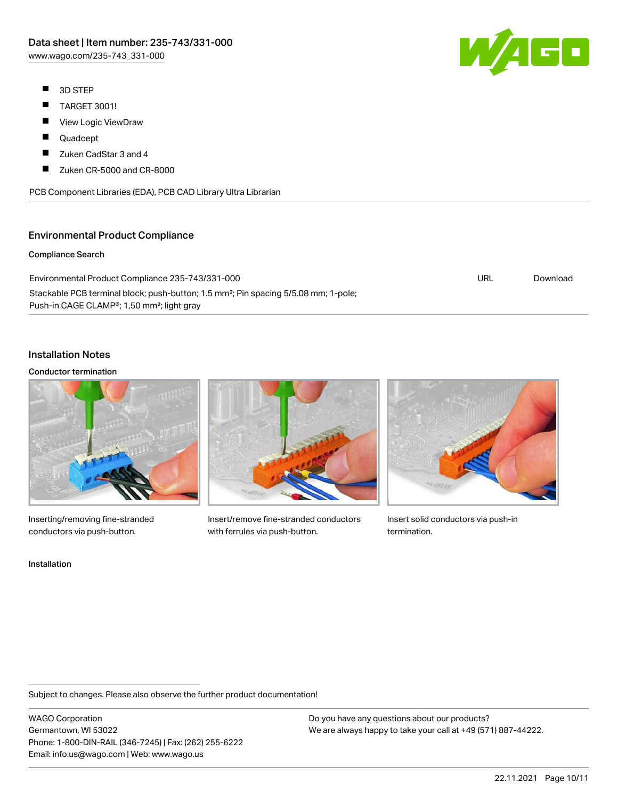- $\blacksquare$ 3D STEP
- $\blacksquare$ TARGET 3001!
- $\blacksquare$ View Logic ViewDraw
- $\blacksquare$ Quadcept
- $\blacksquare$ Zuken CadStar 3 and 4
- П Zuken CR-5000 and CR-8000

PCB Component Libraries (EDA), PCB CAD Library Ultra Librarian

#### Environmental Product Compliance

#### Compliance Search

Environmental Product Compliance 235-743/331-000 Stackable PCB terminal block; push-button; 1.5 mm²; Pin spacing 5/5.08 mm; 1-pole; Push-in CAGE CLAMP®; 1,50 mm²; light gray

#### Installation Notes

#### Conductor termination



Inserting/removing fine-stranded conductors via push-button.





Insert/remove fine-stranded conductors with ferrules via push-button.



Insert solid conductors via push-in termination.

Subject to changes. Please also observe the further product documentation!

WAGO Corporation Germantown, WI 53022 Phone: 1-800-DIN-RAIL (346-7245) | Fax: (262) 255-6222 Email: info.us@wago.com | Web: www.wago.us

Do you have any questions about our products? We are always happy to take your call at +49 (571) 887-44222.



URL [Download](https://www.wago.com/global/d/ComplianceLinkMediaContainer_235-743_331-000)